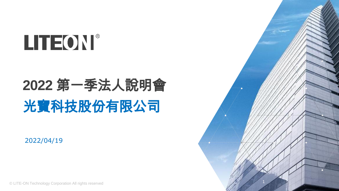

# **2022** 第一季法人說明會 光寶科技股份有限公司

2022/04/19

© LITE-ON Technology Corporation All rights reserved

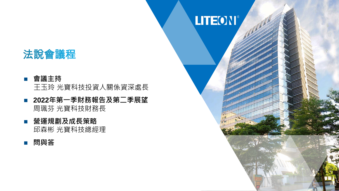### 法說會議程

### ■ 會議主持

王玉玲 光寶科技投資人關係資深處長

- 2022年第一季財務報告及第二季展望 周珮芬 光寶科技財務長
- 營運規劃及成長策略 邱森彬 光寶科技總經理
- 問與答

# LITEON®

P. 2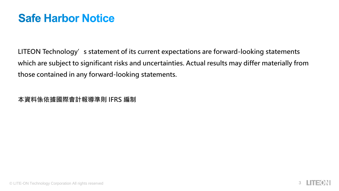### **Safe Harbor Notice**

**LITEON Technology's statement of its current expectations are forward-looking statements which are subject to significant risks and uncertainties. Actual results may differ materially from those contained in any forward-looking statements.**

**本資料係依據國際會計報導準則 IFRS 編制**

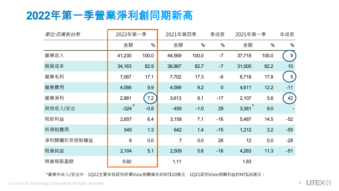## 2022年第一季營業淨利創同期新高

| 單位:百萬新台幣   | 2022年第一季            |        | 2021年第四季       |        | 季成長      | 2021年第一季             |       | 年成長            |
|------------|---------------------|--------|----------------|--------|----------|----------------------|-------|----------------|
|            | 金額                  | %      | 金額             | $\%$   | %        | 金額                   | $\%$  | %              |
| 營業收入       | 41,230              | 100.0  | 44,569         | 100.0  | $-7$     | 37,718               | 100.0 | 9              |
| 銷貨成本       | 34,163              | 82.9   | 36,867         | 82.7   | $-7$     | 31,000               | 82.2  | 10             |
| 營業毛利       | 7,067               | 17.1   | 7,702          | 17.3   | $-8$     | 6,718                | 17.8  | 5 <sub>1</sub> |
| 營業費用       | 4,086               | 9.9    | 4,089          | 9.2    | $\theta$ | 4,611                | 12.2  | $-11$          |
| 營業淨利       | 2,981               | 7.2    | 3,613          | 8.1    | $-17$    | 2,107                | 5.6   | 42             |
| 其他收入/支出    | $-324$ <sup>*</sup> | $-0.8$ | $-455$         | $-1.0$ | 29       | $3,381$ <sup>*</sup> | 9.0   |                |
| 稅前利益       | 2,657               | 6.4    | 3,158          | 7.1    | $-16$    | 5,487                | 14.5  | $-52$          |
| 所得稅費用      | 545                 | 1.3    | 642            | 1.4    | $-15$    | 1,212                | 3.2   | $-55$          |
| 淨利歸屬於非控制權益 | 8                   | 0.0    | $\overline{7}$ | 0.0    | 28       | 12                   | 0.0   | $-28$          |
| 稅後純益       | 2,104               | 5.1    | 2,509          | 5.6    | $-16$    | 4,263                | 11.3  | $-51$          |
| 稅後每股盈餘     | 0.92                |        | 1.11           |        |          | 1.83                 |       |                |

\*營業外收入/支出中,1Q22主要來自認列評價Vizio相關損失約NT\$10億元,1Q21認列Vizio相關利益約NT\$26億元。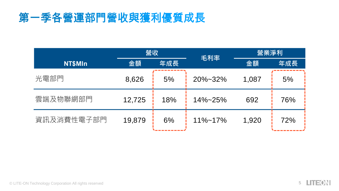# 第一季各營運部門營收與獲利優質成長

|            | 營收     |     | 毛利率           | 營業淨利  |     |  |
|------------|--------|-----|---------------|-------|-----|--|
| NT\$MIn    | 金額     | 年成長 |               | 金額    | 年成長 |  |
| 光電部門       | 8,626  | 5%  | $20\% - 32\%$ | 1,087 | 5%  |  |
| 雲端及物聯網部門   | 12,725 | 18% | $14\% - 25\%$ | 692   | 76% |  |
| 資訊及消費性電子部門 | 19,879 | 6%  | $11\% - 17\%$ | 1,920 | 72% |  |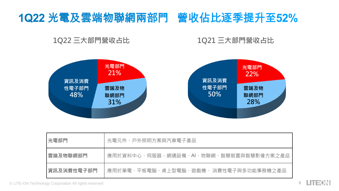# 1Q22 光電及雲端物聯網兩部門 營收佔比逐季提升至52%

**1Q22 三大部門營收占比**

#### **1Q21 三大部門營收占比**



| 光電部門       | 光電元件、戶外照明方案與汽車電子產品                         |  |  |  |  |  |
|------------|--------------------------------------------|--|--|--|--|--|
| 雲端及物聯網部門   | 、網通設備、AI、物聯網、智慧裝置與智慧影像方案之產品<br>應用於資料中心、伺服器 |  |  |  |  |  |
| 資訊及消費性雷子部門 | 、平板電腦、桌上型電腦、遊戲機、 消費性電子與多功能事務機之產品.<br>應用於筆電 |  |  |  |  |  |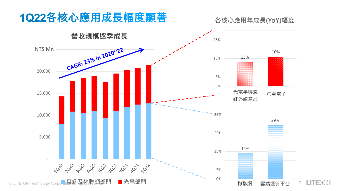### 1Q22各核心應用成長幅度顯著

#### 35% **各核心應用年成長(YoY)幅度**

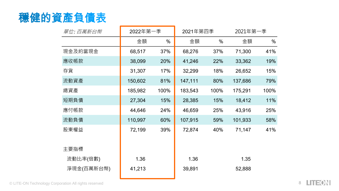

|  | 單位: 百萬新台幣  | 2022年第一季 |      | 2021年第四季 |      | 2021年第一季 |      |
|--|------------|----------|------|----------|------|----------|------|
|  |            | 金額       | %    | 金額       | %    | 金額       | %    |
|  | 現金及約當現金    | 68,517   | 37%  | 68,276   | 37%  | 71,300   | 41%  |
|  | 應收帳款       | 38,099   | 20%  | 41,246   | 22%  | 33,362   | 19%  |
|  | 存貨         | 31,307   | 17%  | 32,299   | 18%  | 26,652   | 15%  |
|  | 流動資產       | 150,602  | 81%  | 147,111  | 80%  | 137,686  | 79%  |
|  | 總資產        | 185,982  | 100% | 183,543  | 100% | 175,291  | 100% |
|  | 短期負債       | 27,304   | 15%  | 28,385   | 15%  | 18,412   | 11%  |
|  | 應付帳款       | 44,646   | 24%  | 46,659   | 25%  | 43,916   | 25%  |
|  | 流動負債       | 110,997  | 60%  | 107,915  | 59%  | 101,933  | 58%  |
|  | 股東權益       | 72,199   | 39%  | 72,874   | 40%  | 71,147   | 41%  |
|  |            |          |      |          |      |          |      |
|  | 主要指標       |          |      |          |      |          |      |
|  | 流動比率(倍數)   | 1.36     |      | 1.36     |      | 1.35     |      |
|  | 淨現金(百萬新台幣) | 41,213   |      | 39,891   |      | 52,888   |      |
|  |            |          |      |          |      |          |      |

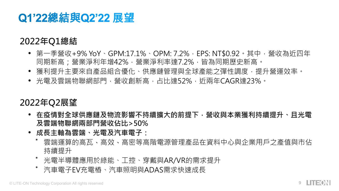### Q1'22總結與Q2'22 展望

### **2022年Q1總結**

- 第一季營收+9% YoY、GPM:17.1%、OPM: 7.2%,EPS: NT\$0.92。其中,營收為近四年 同期新高;營業淨利年增42%,營業淨利率達7.2%,皆為同期歷史新高。
- 獲利提升主要來自產品組合優化、供應鏈管理與全球產能之彈性調度,提升營運效率。
- 光電及雲端物聯網部門,營收創新高,占比達52%,近兩年CAGR達23%。

### **2022年Q2展望**

- **在疫情對全球供應鏈及物流影響不持續擴大的前提下,營收與本業獲利持續提升、且光電 及雲端物聯網兩部門營收佔比>50%**
- **成長主軸為雲端、光電及汽車電子:**
	- 雲端運算的高瓦、高效、高密等高階電源管理產品在資料中心與企業用戶之產值與市佔 持續提升
	- 光電半導體應用於綠能、工控、穿戴與AR/VR的需求提升
	- 汽車電子EV充電樁、汽車照明與ADAS需求快速成長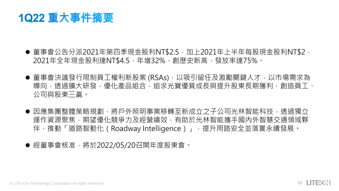1Q22 重大事件摘要

- 董事會公告分派2021年第四季現金股利NT\$2.5,加上2021年上半年每股現金股利NT\$2, 2021年全年現金股利達NT\$4.5,年增32%,創歷史新高,發放率達75%。
- 董事會決議發行限制員工權利新股案 (RSAs), 以吸引留任及激勵關鍵人才, 以市場需求為 導向,透過擴大研發,優化產品組合,追求光寶優質成長與提升股東長期獲利,創造員工、 公司與股東三贏。
- 因應集團整體策略規劃,將戶外照明事業移轉至新成立之子公司光林智能科技,透過獨立 運作資源聚焦,期望優化競爭力及經營績效,有助於光林智能攜手國內外智慧交通領域夥 伴,推動「道路智動化 (Roadway Intelligence)」, 提升用路安全並落實永續發展。

● 經董事會核准,將於2022/05/20召開年度股東會。